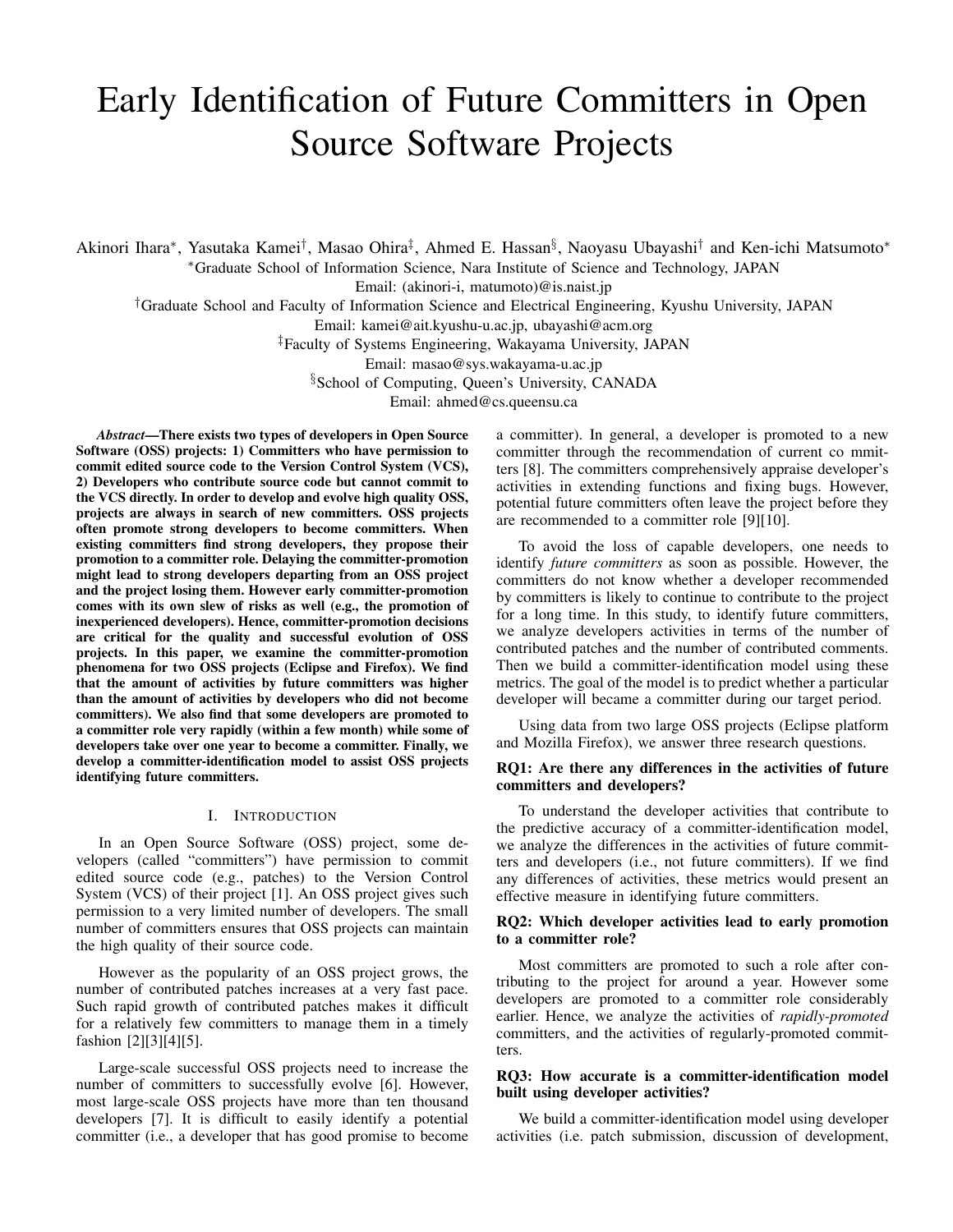# Early Identification of Future Committers in Open Source Software Projects

Akinori Ihara*∗* , Yasutaka Kamei*†* , Masao Ohira*‡* , Ahmed E. Hassan*§* , Naoyasu Ubayashi*†* and Ken-ichi Matsumoto*∗*

*∗*Graduate School of Information Science, Nara Institute of Science and Technology, JAPAN

Email: (akinori-i, matumoto)@is.naist.jp

*†*Graduate School and Faculty of Information Science and Electrical Engineering, Kyushu University, JAPAN

Email: kamei@ait.kyushu-u.ac.jp, ubayashi@acm.org

*‡*Faculty of Systems Engineering, Wakayama University, JAPAN

Email: masao@sys.wakayama-u.ac.jp

*§*School of Computing, Queen's University, CANADA

Email: ahmed@cs.queensu.ca

*Abstract*—There exists two types of developers in Open Source Software (OSS) projects: 1) Committers who have permission to commit edited source code to the Version Control System (VCS), 2) Developers who contribute source code but cannot commit to the VCS directly. In order to develop and evolve high quality OSS, projects are always in search of new committers. OSS projects often promote strong developers to become committers. When existing committers find strong developers, they propose their promotion to a committer role. Delaying the committer-promotion might lead to strong developers departing from an OSS project and the project losing them. However early committer-promotion comes with its own slew of risks as well (e.g., the promotion of inexperienced developers). Hence, committer-promotion decisions are critical for the quality and successful evolution of OSS projects. In this paper, we examine the committer-promotion phenomena for two OSS projects (Eclipse and Firefox). We find that the amount of activities by future committers was higher than the amount of activities by developers who did not become committers). We also find that some developers are promoted to a committer role very rapidly (within a few month) while some of developers take over one year to become a committer. Finally, we develop a committer-identification model to assist OSS projects identifying future committers.

#### I. INTRODUCTION

In an Open Source Software (OSS) project, some developers (called "committers") have permission to commit edited source code (e.g., patches) to the Version Control System (VCS) of their project [1]. An OSS project gives such permission to a very limited number of developers. The small number of committers ensures that OSS projects can maintain the high quality of their source code.

However as the popularity of an OSS project grows, the number of contributed patches increases at a very fast pace. Such rapid growth of contributed patches makes it difficult for a relatively few committers to manage them in a timely fashion [2][3][4][5].

Large-scale successful OSS projects need to increase the number of committers to successfully evolve [6]. However, most large-scale OSS projects have more than ten thousand developers [7]. It is difficult to easily identify a potential committer (i.e., a developer that has good promise to become a committer). In general, a developer is promoted to a new committer through the recommendation of current co mmitters [8]. The committers comprehensively appraise developer's activities in extending functions and fixing bugs. However, potential future committers often leave the project before they are recommended to a committer role [9][10].

To avoid the loss of capable developers, one needs to identify *future committers* as soon as possible. However, the committers do not know whether a developer recommended by committers is likely to continue to contribute to the project for a long time. In this study, to identify future committers, we analyze developers activities in terms of the number of contributed patches and the number of contributed comments. Then we build a committer-identification model using these metrics. The goal of the model is to predict whether a particular developer will became a committer during our target period.

Using data from two large OSS projects (Eclipse platform and Mozilla Firefox), we answer three research questions.

## RQ1: Are there any differences in the activities of future committers and developers?

To understand the developer activities that contribute to the predictive accuracy of a committer-identification model, we analyze the differences in the activities of future committers and developers (i.e., not future committers). If we find any differences of activities, these metrics would present an effective measure in identifying future committers.

#### RQ2: Which developer activities lead to early promotion to a committer role?

Most committers are promoted to such a role after contributing to the project for around a year. However some developers are promoted to a committer role considerably earlier. Hence, we analyze the activities of *rapidly-promoted* committers, and the activities of regularly-promoted committers.

#### RQ3: How accurate is a committer-identification model built using developer activities?

We build a committer-identification model using developer activities (i.e. patch submission, discussion of development,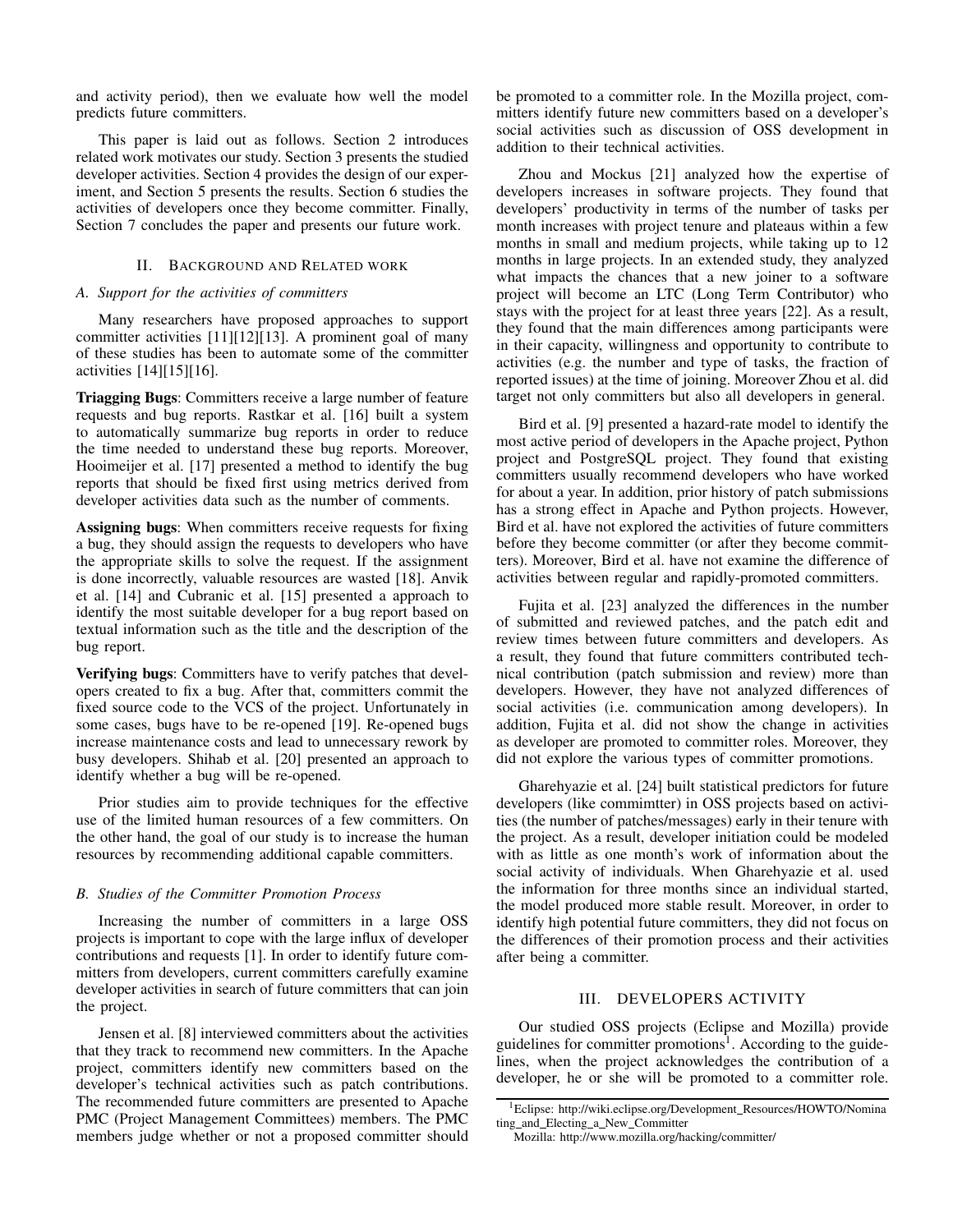and activity period), then we evaluate how well the model predicts future committers.

This paper is laid out as follows. Section 2 introduces related work motivates our study. Section 3 presents the studied developer activities. Section 4 provides the design of our experiment, and Section 5 presents the results. Section 6 studies the activities of developers once they become committer. Finally, Section 7 concludes the paper and presents our future work.

#### II. BACKGROUND AND RELATED WORK

## *A. Support for the activities of committers*

Many researchers have proposed approaches to support committer activities [11][12][13]. A prominent goal of many of these studies has been to automate some of the committer activities [14][15][16].

**Triagging Bugs:** Committers receive a large number of feature requests and bug reports. Rastkar et al. [16] built a system to automatically summarize bug reports in order to reduce the time needed to understand these bug reports. Moreover, Hooimeijer et al. [17] presented a method to identify the bug reports that should be fixed first using metrics derived from developer activities data such as the number of comments.

Assigning bugs: When committers receive requests for fixing a bug, they should assign the requests to developers who have the appropriate skills to solve the request. If the assignment is done incorrectly, valuable resources are wasted [18]. Anvik et al. [14] and Cubranic et al. [15] presented a approach to identify the most suitable developer for a bug report based on textual information such as the title and the description of the bug report.

Verifying bugs: Committers have to verify patches that developers created to fix a bug. After that, committers commit the fixed source code to the VCS of the project. Unfortunately in some cases, bugs have to be re-opened [19]. Re-opened bugs increase maintenance costs and lead to unnecessary rework by busy developers. Shihab et al. [20] presented an approach to identify whether a bug will be re-opened.

Prior studies aim to provide techniques for the effective use of the limited human resources of a few committers. On the other hand, the goal of our study is to increase the human resources by recommending additional capable committers.

#### *B. Studies of the Committer Promotion Process*

Increasing the number of committers in a large OSS projects is important to cope with the large influx of developer contributions and requests [1]. In order to identify future committers from developers, current committers carefully examine developer activities in search of future committers that can join the project.

Jensen et al. [8] interviewed committers about the activities that they track to recommend new committers. In the Apache project, committers identify new committers based on the developer's technical activities such as patch contributions. The recommended future committers are presented to Apache PMC (Project Management Committees) members. The PMC members judge whether or not a proposed committer should be promoted to a committer role. In the Mozilla project, committers identify future new committers based on a developer's social activities such as discussion of OSS development in addition to their technical activities.

Zhou and Mockus [21] analyzed how the expertise of developers increases in software projects. They found that developers' productivity in terms of the number of tasks per month increases with project tenure and plateaus within a few months in small and medium projects, while taking up to 12 months in large projects. In an extended study, they analyzed what impacts the chances that a new joiner to a software project will become an LTC (Long Term Contributor) who stays with the project for at least three years [22]. As a result, they found that the main differences among participants were in their capacity, willingness and opportunity to contribute to activities (e.g. the number and type of tasks, the fraction of reported issues) at the time of joining. Moreover Zhou et al. did target not only committers but also all developers in general.

Bird et al. [9] presented a hazard-rate model to identify the most active period of developers in the Apache project, Python project and PostgreSQL project. They found that existing committers usually recommend developers who have worked for about a year. In addition, prior history of patch submissions has a strong effect in Apache and Python projects. However, Bird et al. have not explored the activities of future committers before they become committer (or after they become committers). Moreover, Bird et al. have not examine the difference of activities between regular and rapidly-promoted committers.

Fujita et al. [23] analyzed the differences in the number of submitted and reviewed patches, and the patch edit and review times between future committers and developers. As a result, they found that future committers contributed technical contribution (patch submission and review) more than developers. However, they have not analyzed differences of social activities (i.e. communication among developers). In addition, Fujita et al. did not show the change in activities as developer are promoted to committer roles. Moreover, they did not explore the various types of committer promotions.

Gharehyazie et al. [24] built statistical predictors for future developers (like commimtter) in OSS projects based on activities (the number of patches/messages) early in their tenure with the project. As a result, developer initiation could be modeled with as little as one month's work of information about the social activity of individuals. When Gharehyazie et al. used the information for three months since an individual started, the model produced more stable result. Moreover, in order to identify high potential future committers, they did not focus on the differences of their promotion process and their activities after being a committer.

## III. DEVELOPERS ACTIVITY

Our studied OSS projects (Eclipse and Mozilla) provide guidelines for committer promotions<sup>1</sup>. According to the guidelines, when the project acknowledges the contribution of a developer, he or she will be promoted to a committer role.

<sup>&</sup>lt;sup>1</sup>Eclipse: http://wiki.eclipse.org/Development\_Resources/HOWTO/Nomina ting\_and\_Electing\_a\_New\_Committer

Mozilla: http://www.mozilla.org/hacking/committer/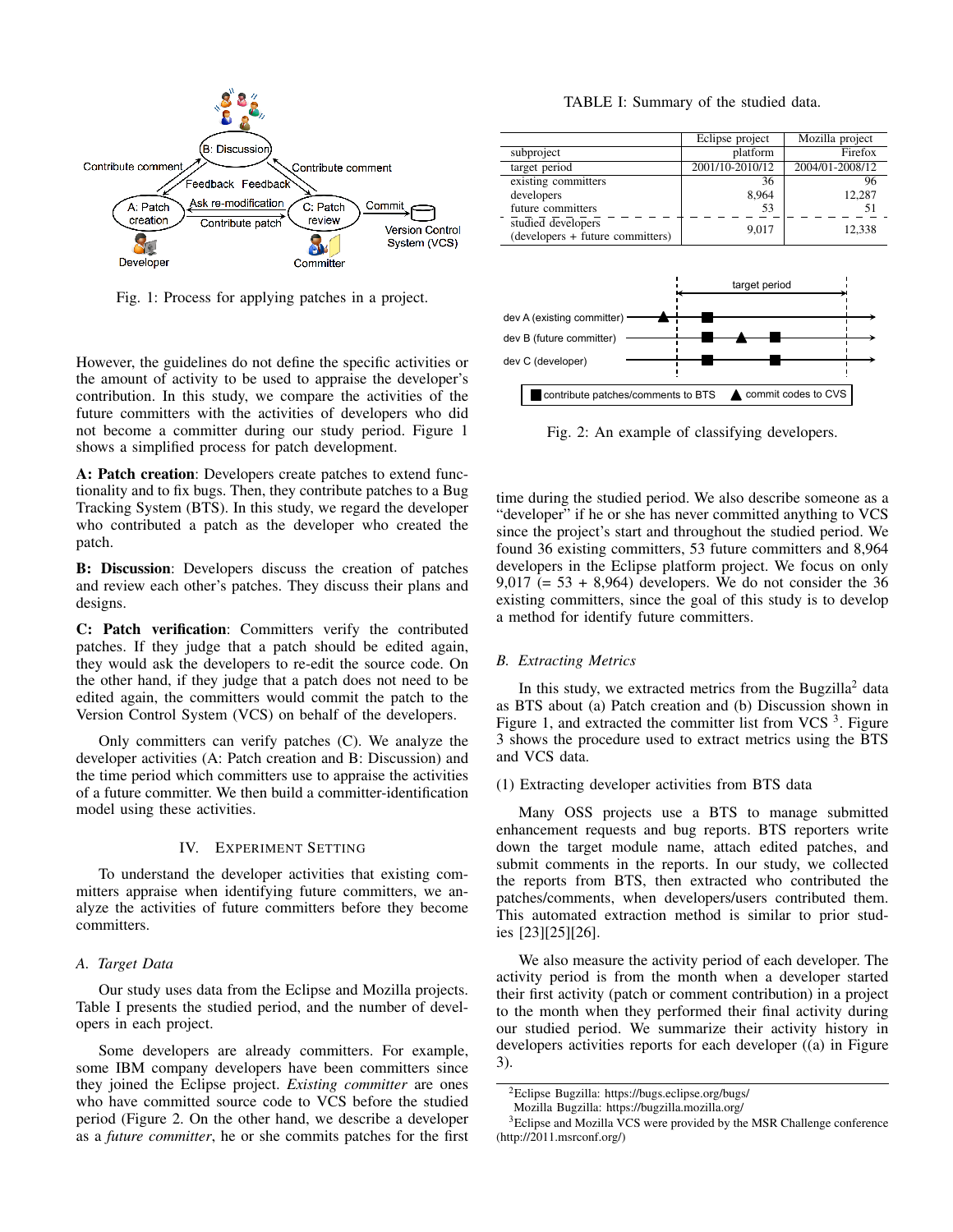

Fig. 1: Process for applying patches in a project.

However, the guidelines do not define the specific activities or the amount of activity to be used to appraise the developer's contribution. In this study, we compare the activities of the future committers with the activities of developers who did not become a committer during our study period. Figure 1 shows a simplified process for patch development.

A: Patch creation: Developers create patches to extend functionality and to fix bugs. Then, they contribute patches to a Bug Tracking System (BTS). In this study, we regard the developer who contributed a patch as the developer who created the patch.

B: Discussion: Developers discuss the creation of patches and review each other's patches. They discuss their plans and designs.

C: Patch verification: Committers verify the contributed patches. If they judge that a patch should be edited again, they would ask the developers to re-edit the source code. On the other hand, if they judge that a patch does not need to be edited again, the committers would commit the patch to the Version Control System (VCS) on behalf of the developers.

Only committers can verify patches (C). We analyze the developer activities (A: Patch creation and B: Discussion) and the time period which committers use to appraise the activities of a future committer. We then build a committer-identification model using these activities.

#### IV. EXPERIMENT SETTING

To understand the developer activities that existing committers appraise when identifying future committers, we analyze the activities of future committers before they become committers.

#### *A. Target Data*

Our study uses data from the Eclipse and Mozilla projects. Table I presents the studied period, and the number of developers in each project.

Some developers are already committers. For example, some IBM company developers have been committers since they joined the Eclipse project. *Existing committer* are ones who have committed source code to VCS before the studied period (Figure 2. On the other hand, we describe a developer as a *future committer*, he or she commits patches for the first

TABLE I: Summary of the studied data.

|                                                           | Eclipse project | Mozilla project |  |
|-----------------------------------------------------------|-----------------|-----------------|--|
| subproject                                                | platform        | Firefox         |  |
| target period                                             | 2001/10-2010/12 | 2004/01-2008/12 |  |
| existing committers                                       | 36              | 96              |  |
| developers                                                | 8,964           | 12,287          |  |
| future committers                                         | 53              | 51              |  |
| studied developers<br>(developers + future committers)    | 9,017           | 12,338          |  |
| target period                                             |                 |                 |  |
| dev A (existing committer)                                |                 |                 |  |
| dev B (future committer)                                  |                 |                 |  |
| dev C (developer)                                         |                 |                 |  |
| commit codes to CVS<br>contribute patches/comments to BTS |                 |                 |  |

Fig. 2: An example of classifying developers.

time during the studied period. We also describe someone as a "developer" if he or she has never committed anything to VCS since the project's start and throughout the studied period. We found 36 existing committers, 53 future committers and 8,964 developers in the Eclipse platform project. We focus on only  $9,017$  (= 53 + 8,964) developers. We do not consider the 36 existing committers, since the goal of this study is to develop a method for identify future committers.

#### *B. Extracting Metrics*

In this study, we extracted metrics from the Bugzilla<sup>2</sup> data as BTS about (a) Patch creation and (b) Discussion shown in Figure 1, and extracted the committer list from VCS  $3$ . Figure 3 shows the procedure used to extract metrics using the BTS and VCS data.

#### (1) Extracting developer activities from BTS data

Many OSS projects use a BTS to manage submitted enhancement requests and bug reports. BTS reporters write down the target module name, attach edited patches, and submit comments in the reports. In our study, we collected the reports from BTS, then extracted who contributed the patches/comments, when developers/users contributed them. This automated extraction method is similar to prior studies [23][25][26].

We also measure the activity period of each developer. The activity period is from the month when a developer started their first activity (patch or comment contribution) in a project to the month when they performed their final activity during our studied period. We summarize their activity history in developers activities reports for each developer ((a) in Figure 3).

<sup>2</sup>Eclipse Bugzilla: https://bugs.eclipse.org/bugs/

Mozilla Bugzilla: https://bugzilla.mozilla.org/

<sup>&</sup>lt;sup>3</sup>Eclipse and Mozilla VCS were provided by the MSR Challenge conference (http://2011.msrconf.org/)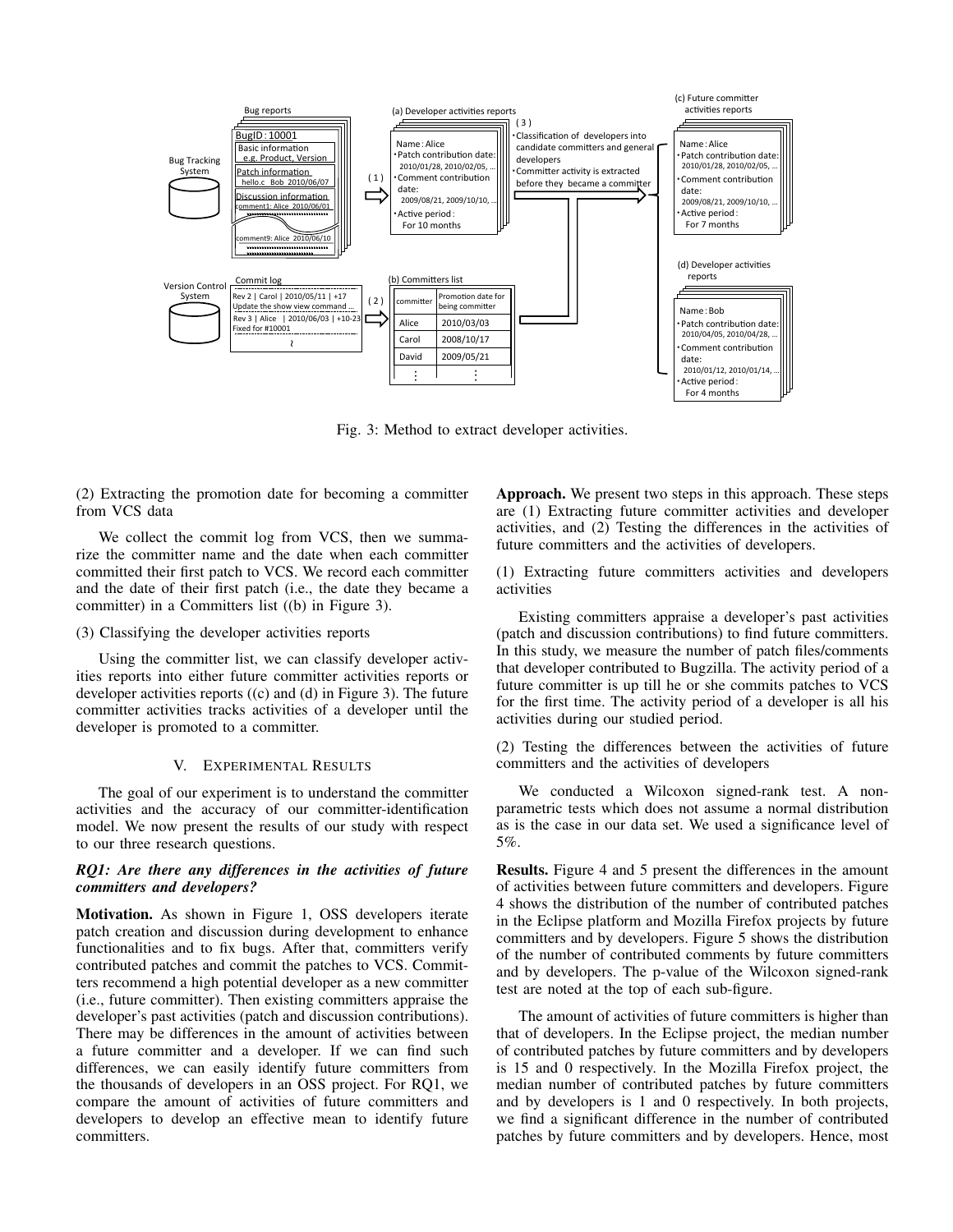

Fig. 3: Method to extract developer activities.

(2) Extracting the promotion date for becoming a committer from VCS data

We collect the commit log from VCS, then we summarize the committer name and the date when each committer committed their first patch to VCS. We record each committer and the date of their first patch (i.e., the date they became a committer) in a Committers list ((b) in Figure 3).

#### (3) Classifying the developer activities reports

Using the committer list, we can classify developer activities reports into either future committer activities reports or developer activities reports  $((c)$  and  $(d)$  in Figure 3). The future committer activities tracks activities of a developer until the developer is promoted to a committer.

#### V. EXPERIMENTAL RESULTS

The goal of our experiment is to understand the committer activities and the accuracy of our committer-identification model. We now present the results of our study with respect to our three research questions.

#### RO1: Are there any differences in the activities of future committers and developers?

**Motivation.** As shown in Figure 1, OSS developers iterate patch creation and discussion during development to enhance functionalities and to fix bugs. After that, committers verify contributed patches and commit the patches to VCS. Committers recommend a high potential developer as a new committer (i.e., future committer). Then existing committers appraise the developer's past activities (patch and discussion contributions). There may be differences in the amount of activities between a future committer and a developer. If we can find such differences, we can easily identify future committers from the thousands of developers in an OSS project. For RQ1, we compare the amount of activities of future committers and developers to develop an effective mean to identify future committers.

Approach. We present two steps in this approach. These steps are (1) Extracting future committer activities and developer activities, and (2) Testing the differences in the activities of future committers and the activities of developers.

(1) Extracting future committers activities and developers activities

Existing committers appraise a developer's past activities (patch and discussion contributions) to find future committers. In this study, we measure the number of patch files/comments that developer contributed to Bugzilla. The activity period of a future committer is up till he or she commits patches to VCS for the first time. The activity period of a developer is all his activities during our studied period.

(2) Testing the differences between the activities of future committers and the activities of developers

We conducted a Wilcoxon signed-rank test. A nonparametric tests which does not assume a normal distribution as is the case in our data set. We used a significance level of  $5\%$ .

**Results.** Figure 4 and 5 present the differences in the amount of activities between future committers and developers. Figure 4 shows the distribution of the number of contributed patches in the Eclipse platform and Mozilla Firefox projects by future committers and by developers. Figure 5 shows the distribution of the number of contributed comments by future committers and by developers. The p-value of the Wilcoxon signed-rank test are noted at the top of each sub-figure.

The amount of activities of future committers is higher than that of developers. In the Eclipse project, the median number of contributed patches by future committers and by developers is 15 and 0 respectively. In the Mozilla Firefox project, the median number of contributed patches by future committers and by developers is 1 and 0 respectively. In both projects, we find a significant difference in the number of contributed patches by future committers and by developers. Hence, most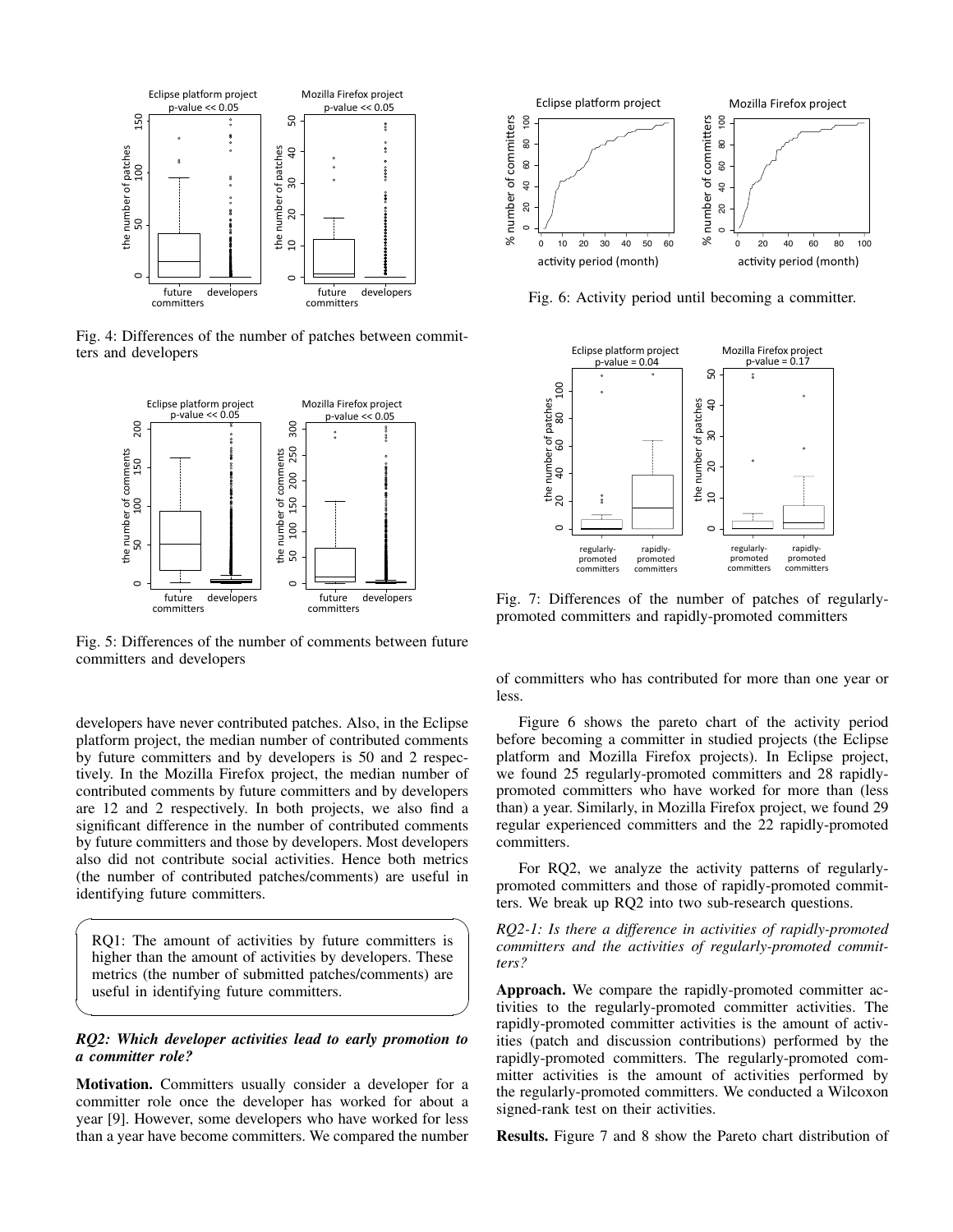

Fig. 4: Differences of the number of patches between committers and developers



Fig. 5: Differences of the number of comments between future committers and developers

developers have never contributed patches. Also, in the Eclipse platform project, the median number of contributed comments by future committers and by developers is 50 and 2 respectively. In the Mozilla Firefox project, the median number of contributed comments by future committers and by developers are 12 and 2 respectively. In both projects, we also find a significant difference in the number of contributed comments by future committers and those by developers. Most developers also did not contribute social activities. Hence both metrics (the number of contributed patches/comments) are useful in identifying future committers.

RQ1: The amount of activities by future committers is higher than the amount of activities by developers. These metrics (the number of submitted patches/comments) are useful in identifying future committers.

## *RQ2: Which developer activities lead to early promotion to a committer role?*

Motivation. Committers usually consider a developer for a committer role once the developer has worked for about a year [9]. However, some developers who have worked for less than a year have become committers. We compared the number



Fig. 6: Activity period until becoming a committer.



Fig. 7: Differences of the number of patches of regularlypromoted committers and rapidly-promoted committers

of committers who has contributed for more than one year or less.

Figure 6 shows the pareto chart of the activity period before becoming a committer in studied projects (the Eclipse platform and Mozilla Firefox projects). In Eclipse project, we found 25 regularly-promoted committers and 28 rapidlypromoted committers who have worked for more than (less than) a year. Similarly, in Mozilla Firefox project, we found 29 regular experienced committers and the 22 rapidly-promoted committers.

For RQ2, we analyze the activity patterns of regularlypromoted committers and those of rapidly-promoted committers. We break up RQ2 into two sub-research questions.

 $\sqrt{2\pi}$ *RQ2-1: Is there a difference in activities of rapidly-promoted committers and the activities of regularly-promoted committers?*

✒ ✑ Approach. We compare the rapidly-promoted committer activities to the regularly-promoted committer activities. The rapidly-promoted committer activities is the amount of activities (patch and discussion contributions) performed by the rapidly-promoted committers. The regularly-promoted committer activities is the amount of activities performed by the regularly-promoted committers. We conducted a Wilcoxon signed-rank test on their activities.

Results. Figure 7 and 8 show the Pareto chart distribution of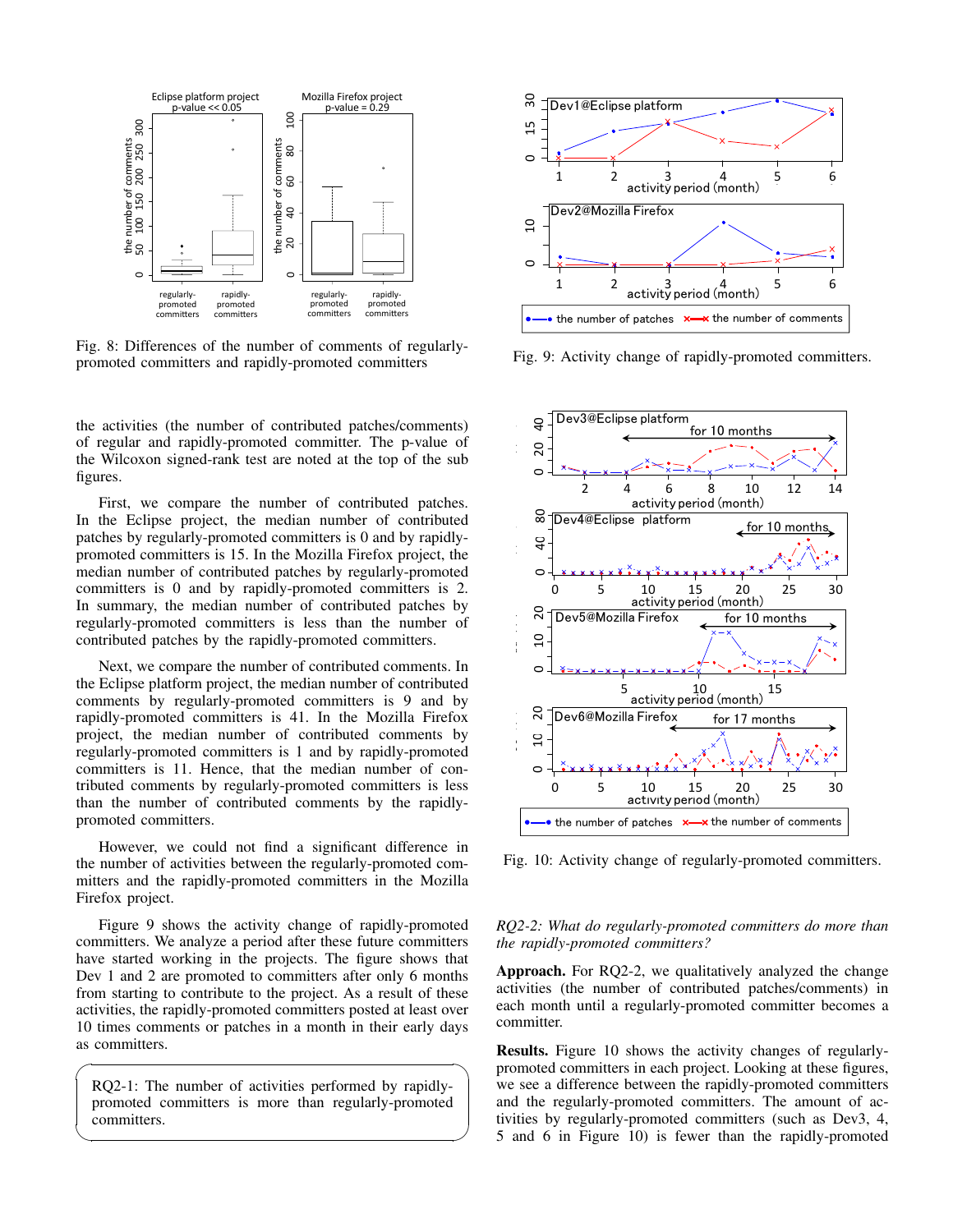

Fig. 8: Differences of the number of comments of regularlypromoted committers and rapidly-promoted committers

the activities (the number of contributed patches/comments) of regular and rapidly-promoted committer. The p-value of the Wilcoxon signed-rank test are noted at the top of the sub figures.

First, we compare the number of contributed patches. In the Eclipse project, the median number of contributed patches by regularly-promoted committers is 0 and by rapidlypromoted committers is 15. In the Mozilla Firefox project, the median number of contributed patches by regularly-promoted committers is 0 and by rapidly-promoted committers is 2. In summary, the median number of contributed patches by regularly-promoted committers is less than the number of contributed patches by the rapidly-promoted committers.

Next, we compare the number of contributed comments. In the Eclipse platform project, the median number of contributed comments by regularly-promoted committers is 9 and by rapidly-promoted committers is 41. In the Mozilla Firefox project, the median number of contributed comments by regularly-promoted committers is 1 and by rapidly-promoted committers is 11. Hence, that the median number of contributed comments by regularly-promoted committers is less than the number of contributed comments by the rapidlypromoted committers.

However, we could not find a significant difference in the number of activities between the regularly-promoted committers and the rapidly-promoted committers in the Mozilla Firefox project.

Figure 9 shows the activity change of rapidly-promoted committers. We analyze a period after these future committers have started working in the projects. The figure shows that Dev 1 and 2 are promoted to committers after only 6 months from starting to contribute to the project. As a result of these activities, the rapidly-promoted committers posted at least over 10 times comments or patches in a month in their early days as committers.

RQ2-1: The number of activities performed by rapidlypromoted committers is more than regularly-promoted committers.



Fig. 9: Activity change of rapidly-promoted committers.



Fig. 10: Activity change of regularly-promoted committers.

#### RO2-2: What do regularly-promoted committers do more than the rapidly-promoted committers?

**Approach.** For RQ2-2, we qualitatively analyzed the change activities (the number of contributed patches/comments) in each month until a regularly-promoted committer becomes a committer.

**Results.** Figure 10 shows the activity changes of regularlypromoted committers in each project. Looking at these figures, we see a difference between the rapidly-promoted committers and the regularly-promoted committers. The amount of activities by regularly-promoted committers (such as Dev3, 4, 5 and 6 in Figure 10) is fewer than the rapidly-promoted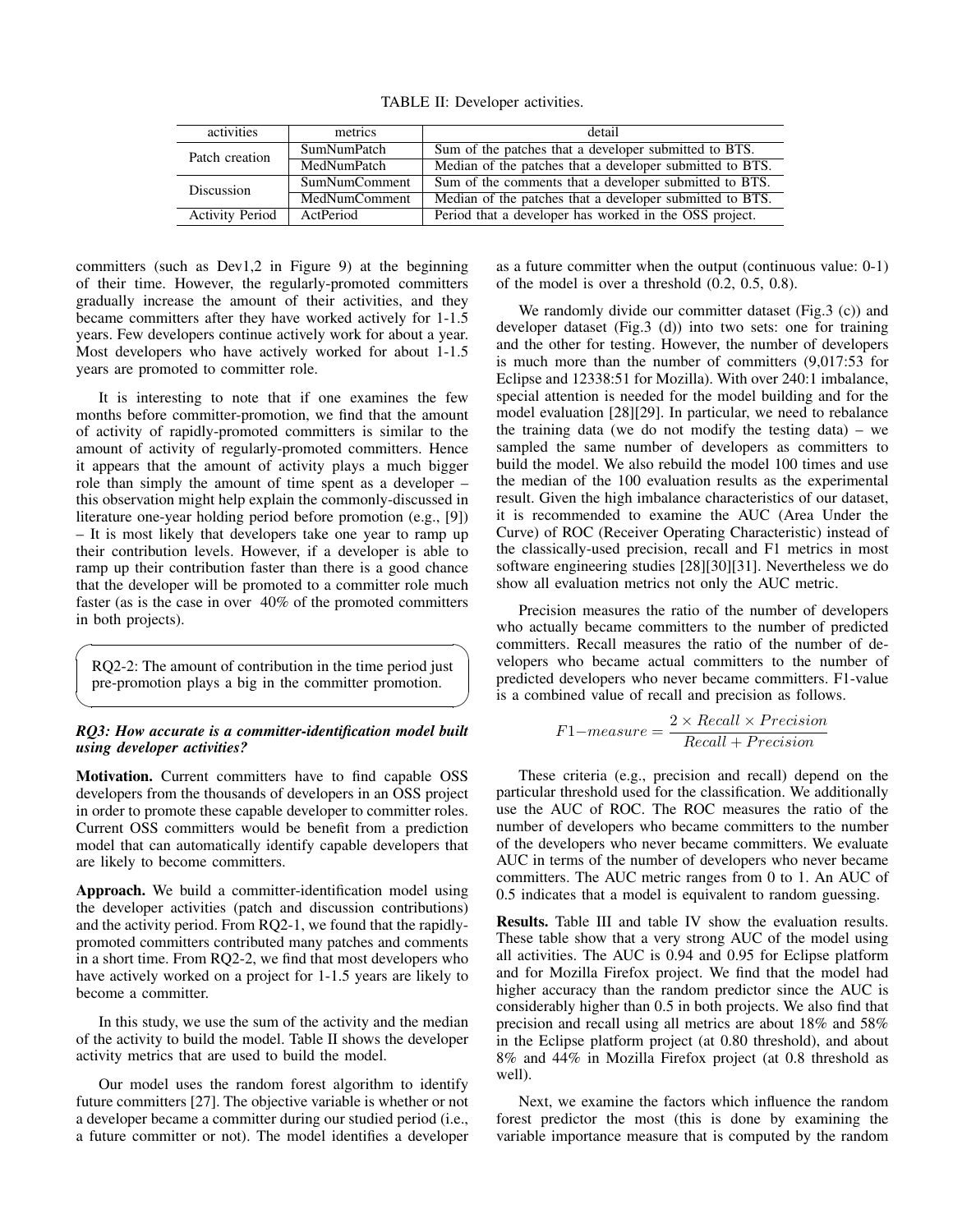TABLE II: Developer activities.

| activities             | metrics              | detail                                                   |  |
|------------------------|----------------------|----------------------------------------------------------|--|
| Patch creation         | SumNumPatch          | Sum of the patches that a developer submitted to BTS.    |  |
|                        | MedNumPatch          | Median of the patches that a developer submitted to BTS. |  |
| <b>Discussion</b>      | <b>SumNumComment</b> | Sum of the comments that a developer submitted to BTS.   |  |
|                        | MedNumComment        | Median of the patches that a developer submitted to BTS. |  |
| <b>Activity Period</b> | ActPeriod            | Period that a developer has worked in the OSS project.   |  |

committers (such as Dev1,2 in Figure 9) at the beginning of their time. However, the regularly-promoted committers gradually increase the amount of their activities, and they became committers after they have worked actively for 1-1.5 years. Few developers continue actively work for about a year. Most developers who have actively worked for about 1-1.5 years are promoted to committer role.

It is interesting to note that if one examines the few months before committer-promotion, we find that the amount of activity of rapidly-promoted committers is similar to the amount of activity of regularly-promoted committers. Hence it appears that the amount of activity plays a much bigger role than simply the amount of time spent as a developer – this observation might help explain the commonly-discussed in literature one-year holding period before promotion (e.g., [9]) – It is most likely that developers take one year to ramp up their contribution levels. However, if a developer is able to ramp up their contribution faster than there is a good chance that the developer will be promoted to a committer role much faster (as is the case in over 40% of the promoted committers in both projects).

RQ2-2: The amount of contribution in the time period just pre-promotion plays a big in the committer promotion.

#### *RQ3: How accurate is a committer-identification model built using developer activities?*

Motivation. Current committers have to find capable OSS developers from the thousands of developers in an OSS project in order to promote these capable developer to committer roles. Current OSS committers would be benefit from a prediction model that can automatically identify capable developers that are likely to become committers.

Approach. We build a committer-identification model using the developer activities (patch and discussion contributions) and the activity period. From RQ2-1, we found that the rapidlypromoted committers contributed many patches and comments in a short time. From RQ2-2, we find that most developers who have actively worked on a project for 1-1.5 years are likely to become a committer.

In this study, we use the sum of the activity and the median of the activity to build the model. Table II shows the developer activity metrics that are used to build the model.

Our model uses the random forest algorithm to identify future committers [27]. The objective variable is whether or not a developer became a committer during our studied period (i.e., a future committer or not). The model identifies a developer as a future committer when the output (continuous value: 0-1) of the model is over a threshold (0.2, 0.5, 0.8).

We randomly divide our committer dataset (Fig.3 (c)) and developer dataset (Fig.3 (d)) into two sets: one for training and the other for testing. However, the number of developers is much more than the number of committers (9,017:53 for Eclipse and 12338:51 for Mozilla). With over 240:1 imbalance, special attention is needed for the model building and for the model evaluation [28][29]. In particular, we need to rebalance the training data (we do not modify the testing data) – we sampled the same number of developers as committers to build the model. We also rebuild the model 100 times and use the median of the 100 evaluation results as the experimental result. Given the high imbalance characteristics of our dataset, it is recommended to examine the AUC (Area Under the Curve) of ROC (Receiver Operating Characteristic) instead of the classically-used precision, recall and F1 metrics in most software engineering studies [28][30][31]. Nevertheless we do show all evaluation metrics not only the AUC metric.

 $\overline{\phantom{a}}$ ✒ ✑ Precision measures the ratio of the number of developers who actually became committers to the number of predicted committers. Recall measures the ratio of the number of developers who became actual committers to the number of predicted developers who never became committers. F1-value is a combined value of recall and precision as follows.

$$
F1-measure = \frac{2 \times Recall \times Precision}{Recall + Precision}
$$

These criteria (e.g., precision and recall) depend on the particular threshold used for the classification. We additionally use the AUC of ROC. The ROC measures the ratio of the number of developers who became committers to the number of the developers who never became committers. We evaluate AUC in terms of the number of developers who never became committers. The AUC metric ranges from 0 to 1. An AUC of 0.5 indicates that a model is equivalent to random guessing.

Results. Table III and table IV show the evaluation results. These table show that a very strong AUC of the model using all activities. The AUC is 0.94 and 0.95 for Eclipse platform and for Mozilla Firefox project. We find that the model had higher accuracy than the random predictor since the AUC is considerably higher than 0.5 in both projects. We also find that precision and recall using all metrics are about 18% and 58% in the Eclipse platform project (at 0.80 threshold), and about 8% and 44% in Mozilla Firefox project (at 0.8 threshold as well).

Next, we examine the factors which influence the random forest predictor the most (this is done by examining the variable importance measure that is computed by the random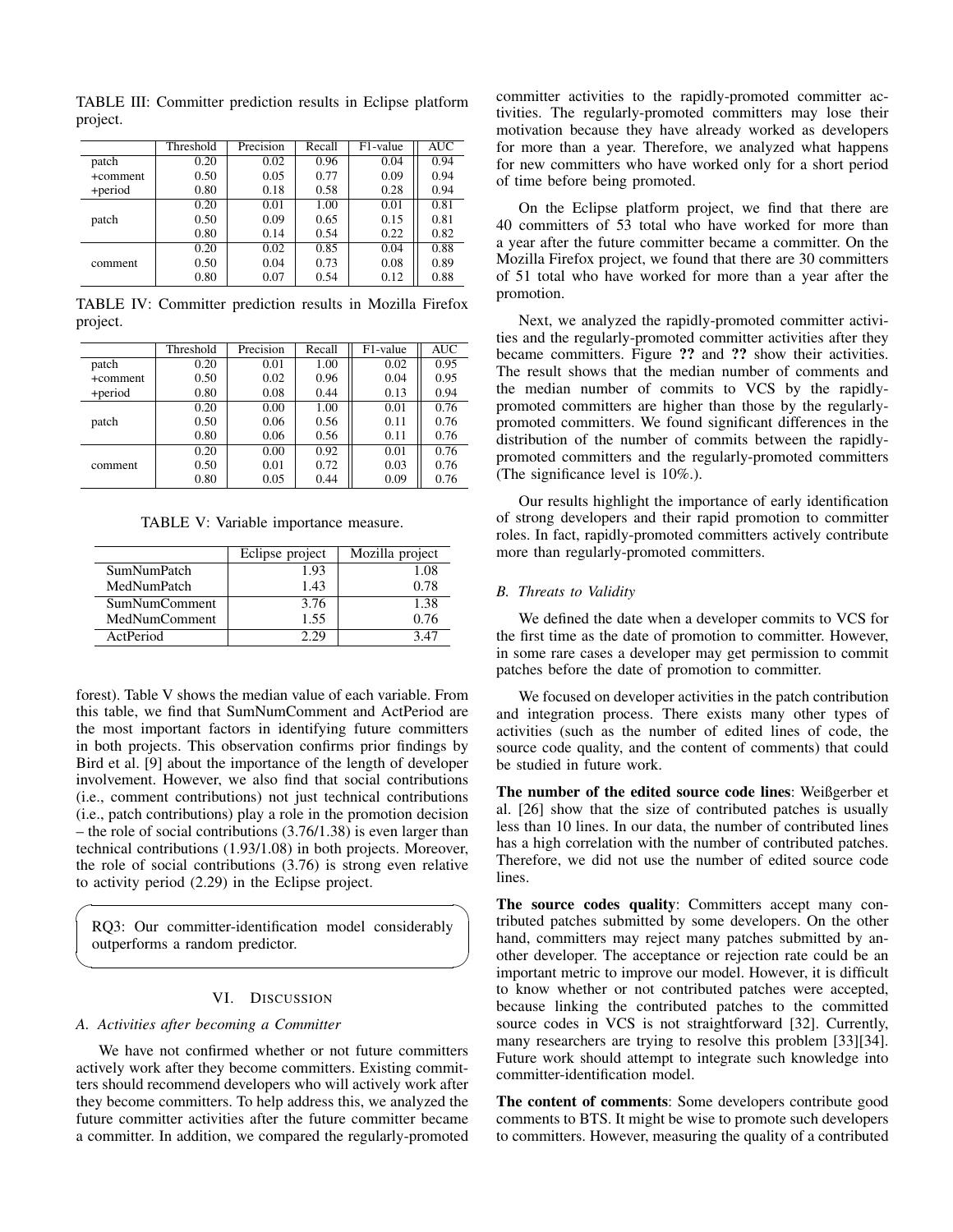|            | Threshold | Precision | Recall | F1-value | <b>AUC</b> |
|------------|-----------|-----------|--------|----------|------------|
| patch      | 0.20      | 0.02      | 0.96   | 0.04     | 0.94       |
| $+comment$ | 0.50      | 0.05      | 0.77   | 0.09     | 0.94       |
| +period    | 0.80      | 0.18      | 0.58   | 0.28     | 0.94       |
|            | 0.20      | 0.01      | 1.00   | 0.01     | 0.81       |
| patch      | 0.50      | 0.09      | 0.65   | 0.15     | 0.81       |
|            | 0.80      | 0.14      | 0.54   | 0.22     | 0.82       |
|            | 0.20      | 0.02      | 0.85   | 0.04     | 0.88       |
| comment    | 0.50      | 0.04      | 0.73   | 0.08     | 0.89       |
|            | 0.80      | 0.07      | 0.54   | 0.12     | 0.88       |

TABLE III: Committer prediction results in Eclipse platform project.

TABLE IV: Committer prediction results in Mozilla Firefox project.

|            | Threshold | Precision | Recall | F1-value | AUC  |
|------------|-----------|-----------|--------|----------|------|
| patch      | 0.20      | 0.01      | 1.00   | 0.02     | 0.95 |
| $+comment$ | 0.50      | 0.02      | 0.96   | 0.04     | 0.95 |
| +period    | 0.80      | 0.08      | 0.44   | 0.13     | 0.94 |
|            | 0.20      | 0.00      | 1.00   | 0.01     | 0.76 |
| patch      | 0.50      | 0.06      | 0.56   | 0.11     | 0.76 |
|            | 0.80      | 0.06      | 0.56   | 0.11     | 0.76 |
|            | 0.20      | 0.00      | 0.92   | 0.01     | 0.76 |
| comment    | 0.50      | 0.01      | 0.72   | 0.03     | 0.76 |
|            | 0.80      | 0.05      | 0.44   | 0.09     | 0.76 |

TABLE V: Variable importance measure.

|                      | Eclipse project | Mozilla project |
|----------------------|-----------------|-----------------|
| SumNumPatch          | 1.93            | 1.08            |
| MedNumPatch          | 1.43            | 0.78            |
| <b>SumNumComment</b> | 3.76            | 1.38            |
| <b>MedNumComment</b> | 1.55            | 0.76            |
| ActPeriod            | つつし             | 3 A.            |

forest). Table V shows the median value of each variable. From this table, we find that SumNumComment and ActPeriod are the most important factors in identifying future committers in both projects. This observation confirms prior findings by Bird et al. [9] about the importance of the length of developer involvement. However, we also find that social contributions (i.e., comment contributions) not just technical contributions (i.e., patch contributions) play a role in the promotion decision – the role of social contributions (3.76/1.38) is even larger than technical contributions (1.93/1.08) in both projects. Moreover, the role of social contributions (3.76) is strong even relative to activity period (2.29) in the Eclipse project.

RQ3: Our committer-identification model considerably outperforms a random predictor.

#### VI. DISCUSSION

#### *A. Activities after becoming a Committer*

We have not confirmed whether or not future committers actively work after they become committers. Existing committers should recommend developers who will actively work after they become committers. To help address this, we analyzed the future committer activities after the future committer became a committer. In addition, we compared the regularly-promoted committer activities to the rapidly-promoted committer activities. The regularly-promoted committers may lose their motivation because they have already worked as developers for more than a year. Therefore, we analyzed what happens for new committers who have worked only for a short period of time before being promoted.

On the Eclipse platform project, we find that there are 40 committers of 53 total who have worked for more than a year after the future committer became a committer. On the Mozilla Firefox project, we found that there are 30 committers of 51 total who have worked for more than a year after the promotion.

Next, we analyzed the rapidly-promoted committer activities and the regularly-promoted committer activities after they became committers. Figure ?? and ?? show their activities. The result shows that the median number of comments and the median number of commits to VCS by the rapidlypromoted committers are higher than those by the regularlypromoted committers. We found significant differences in the distribution of the number of commits between the rapidlypromoted committers and the regularly-promoted committers (The significance level is 10%.).

Our results highlight the importance of early identification of strong developers and their rapid promotion to committer roles. In fact, rapidly-promoted committers actively contribute more than regularly-promoted committers.

#### *B. Threats to Validity*

We defined the date when a developer commits to VCS for the first time as the date of promotion to committer. However, in some rare cases a developer may get permission to commit patches before the date of promotion to committer.

We focused on developer activities in the patch contribution and integration process. There exists many other types of activities (such as the number of edited lines of code, the source code quality, and the content of comments) that could be studied in future work.

The number of the edited source code lines: Weißgerber et al. [26] show that the size of contributed patches is usually less than 10 lines. In our data, the number of contributed lines has a high correlation with the number of contributed patches. Therefore, we did not use the number of edited source code lines.

 $\sqrt{2\pi}$ ✒ ✑ The source codes quality: Committers accept many contributed patches submitted by some developers. On the other hand, committers may reject many patches submitted by another developer. The acceptance or rejection rate could be an important metric to improve our model. However, it is difficult to know whether or not contributed patches were accepted, because linking the contributed patches to the committed source codes in VCS is not straightforward [32]. Currently, many researchers are trying to resolve this problem [33][34]. Future work should attempt to integrate such knowledge into committer-identification model.

> The content of comments: Some developers contribute good comments to BTS. It might be wise to promote such developers to committers. However, measuring the quality of a contributed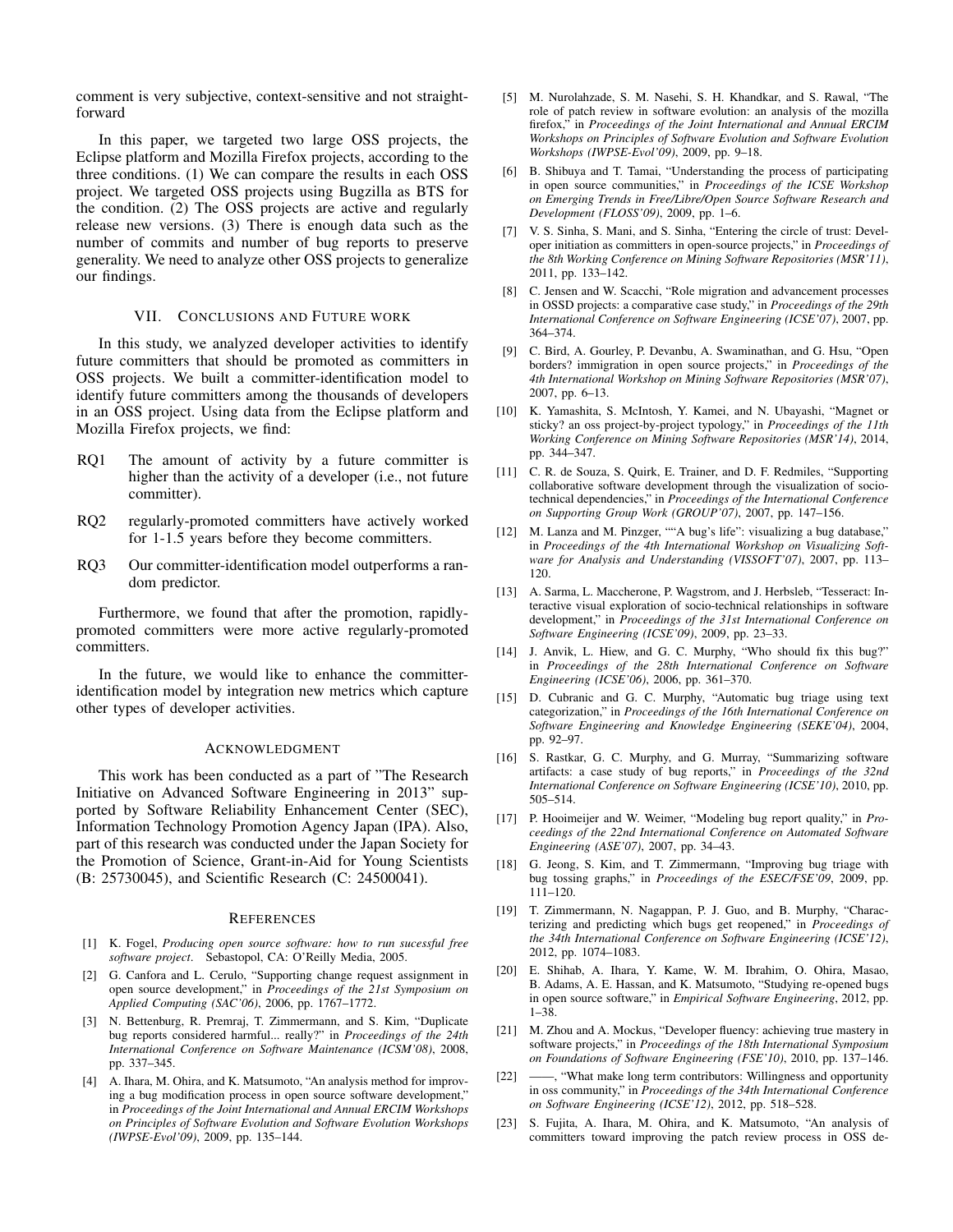comment is very subjective, context-sensitive and not straightforward

In this paper, we targeted two large OSS projects, the Eclipse platform and Mozilla Firefox projects, according to the three conditions. (1) We can compare the results in each OSS project. We targeted OSS projects using Bugzilla as BTS for the condition. (2) The OSS projects are active and regularly release new versions. (3) There is enough data such as the number of commits and number of bug reports to preserve generality. We need to analyze other OSS projects to generalize our findings.

#### VII. CONCLUSIONS AND FUTURE WORK

In this study, we analyzed developer activities to identify future committers that should be promoted as committers in OSS projects. We built a committer-identification model to identify future committers among the thousands of developers in an OSS project. Using data from the Eclipse platform and Mozilla Firefox projects, we find:

- RQ1 The amount of activity by a future committer is higher than the activity of a developer (i.e., not future committer).
- RQ2 regularly-promoted committers have actively worked for 1-1.5 years before they become committers.
- RQ3 Our committer-identification model outperforms a random predictor.

Furthermore, we found that after the promotion, rapidlypromoted committers were more active regularly-promoted committers.

In the future, we would like to enhance the committeridentification model by integration new metrics which capture other types of developer activities.

#### ACKNOWLEDGMENT

This work has been conducted as a part of "The Research Initiative on Advanced Software Engineering in 2013" supported by Software Reliability Enhancement Center (SEC), Information Technology Promotion Agency Japan (IPA). Also, part of this research was conducted under the Japan Society for the Promotion of Science, Grant-in-Aid for Young Scientists (B: 25730045), and Scientific Research (C: 24500041).

#### **REFERENCES**

- [1] K. Fogel, *Producing open source software: how to run sucessful free software project*. Sebastopol, CA: O'Reilly Media, 2005.
- [2] G. Canfora and L. Cerulo, "Supporting change request assignment in open source development," in *Proceedings of the 21st Symposium on Applied Computing (SAC'06)*, 2006, pp. 1767–1772.
- [3] N. Bettenburg, R. Premraj, T. Zimmermann, and S. Kim, "Duplicate bug reports considered harmful... really?" in *Proceedings of the 24th International Conference on Software Maintenance (ICSM'08)*, 2008, pp. 337–345.
- [4] A. Ihara, M. Ohira, and K. Matsumoto, "An analysis method for improving a bug modification process in open source software development," in *Proceedings of the Joint International and Annual ERCIM Workshops on Principles of Software Evolution and Software Evolution Workshops (IWPSE-Evol'09)*, 2009, pp. 135–144.
- [5] M. Nurolahzade, S. M. Nasehi, S. H. Khandkar, and S. Rawal, "The role of patch review in software evolution: an analysis of the mozilla firefox," in *Proceedings of the Joint International and Annual ERCIM Workshops on Principles of Software Evolution and Software Evolution Workshops (IWPSE-Evol'09)*, 2009, pp. 9–18.
- [6] B. Shibuya and T. Tamai, "Understanding the process of participating in open source communities," in *Proceedings of the ICSE Workshop on Emerging Trends in Free/Libre/Open Source Software Research and Development (FLOSS'09)*, 2009, pp. 1–6.
- [7] V. S. Sinha, S. Mani, and S. Sinha, "Entering the circle of trust: Developer initiation as committers in open-source projects," in *Proceedings of the 8th Working Conference on Mining Software Repositories (MSR'11)*, 2011, pp. 133–142.
- [8] C. Jensen and W. Scacchi, "Role migration and advancement processes in OSSD projects: a comparative case study," in *Proceedings of the 29th International Conference on Software Engineering (ICSE'07)*, 2007, pp. 364–374.
- [9] C. Bird, A. Gourley, P. Devanbu, A. Swaminathan, and G. Hsu, "Open borders? immigration in open source projects," in *Proceedings of the 4th International Workshop on Mining Software Repositories (MSR'07)*, 2007, pp. 6–13.
- [10] K. Yamashita, S. McIntosh, Y. Kamei, and N. Ubayashi, "Magnet or sticky? an oss project-by-project typology," in *Proceedings of the 11th Working Conference on Mining Software Repositories (MSR'14)*, 2014, pp. 344–347.
- [11] C. R. de Souza, S. Quirk, E. Trainer, and D. F. Redmiles, "Supporting collaborative software development through the visualization of sociotechnical dependencies," in *Proceedings of the International Conference on Supporting Group Work (GROUP'07)*, 2007, pp. 147–156.
- [12] M. Lanza and M. Pinzger, ""A bug's life": visualizing a bug database," in *Proceedings of the 4th International Workshop on Visualizing Software for Analysis and Understanding (VISSOFT'07)*, 2007, pp. 113– 120.
- [13] A. Sarma, L. Maccherone, P. Wagstrom, and J. Herbsleb, "Tesseract: Interactive visual exploration of socio-technical relationships in software development," in *Proceedings of the 31st International Conference on Software Engineering (ICSE'09)*, 2009, pp. 23–33.
- [14] J. Anvik, L. Hiew, and G. C. Murphy, "Who should fix this bug?" in *Proceedings of the 28th International Conference on Software Engineering (ICSE'06)*, 2006, pp. 361–370.
- [15] D. Cubranic and G. C. Murphy, "Automatic bug triage using text categorization," in *Proceedings of the 16th International Conference on Software Engineering and Knowledge Engineering (SEKE'04)*, 2004, pp. 92–97.
- [16] S. Rastkar, G. C. Murphy, and G. Murray, "Summarizing software artifacts: a case study of bug reports," in *Proceedings of the 32nd International Conference on Software Engineering (ICSE'10)*, 2010, pp. 505–514.
- [17] P. Hooimeijer and W. Weimer, "Modeling bug report quality," in *Proceedings of the 22nd International Conference on Automated Software Engineering (ASE'07)*, 2007, pp. 34–43.
- [18] G. Jeong, S. Kim, and T. Zimmermann, "Improving bug triage with bug tossing graphs," in *Proceedings of the ESEC/FSE'09*, 2009, pp. 111–120.
- [19] T. Zimmermann, N. Nagappan, P. J. Guo, and B. Murphy, "Characterizing and predicting which bugs get reopened," in *Proceedings of the 34th International Conference on Software Engineering (ICSE'12)*, 2012, pp. 1074–1083.
- [20] E. Shihab, A. Ihara, Y. Kame, W. M. Ibrahim, O. Ohira, Masao, B. Adams, A. E. Hassan, and K. Matsumoto, "Studying re-opened bugs in open source software," in *Empirical Software Engineering*, 2012, pp. 1–38.
- [21] M. Zhou and A. Mockus, "Developer fluency: achieving true mastery in software projects," in *Proceedings of the 18th International Symposium on Foundations of Software Engineering (FSE'10)*, 2010, pp. 137–146.
- [22] ——, "What make long term contributors: Willingness and opportunity in oss community," in *Proceedings of the 34th International Conference on Software Engineering (ICSE'12)*, 2012, pp. 518–528.
- [23] S. Fujita, A. Ihara, M. Ohira, and K. Matsumoto, "An analysis of committers toward improving the patch review process in OSS de-